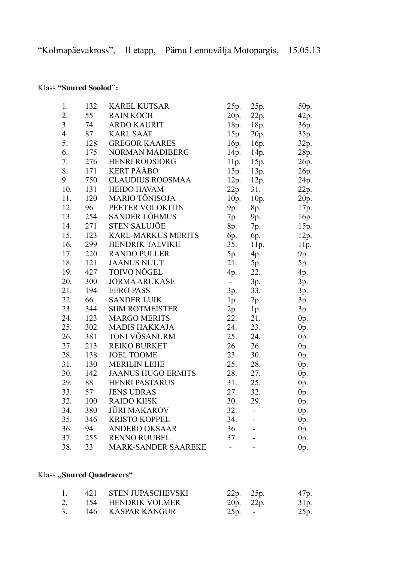## Klass **"Suured Soolod":**

| 1.  | 132 | <b>KAREL KUTSAR</b>        | 25p.           | 25p. | 50p.   |
|-----|-----|----------------------------|----------------|------|--------|
| 2.  | 55  | <b>RAIN KOCH</b>           | 20p.           | 22p. | 42p.   |
| 3.  | 74  | <b>ARDO KAURIT</b>         | 18p.           | 18p. | 36p.   |
| 4.  | 87  | <b>KARL SAAT</b>           | 15p.           | 20p. | 35p.   |
| 5.  | 128 | <b>GREGOR KAARES</b>       | 16p.           | 16p. | 32p.   |
| 6.  | 175 | NORMAN MADIBERG            | 14p.           | 14p. | 28p.   |
| 7.  | 276 | <b>HENRI ROOSIORG</b>      | 11p.           | 15p. | 26p.   |
| 8.  | 171 | <b>KERT PÄÄBO</b>          | 13p.           | 13p. | 26p.   |
| 9.  | 750 | <b>CLAUDIUS ROOSMAA</b>    | 12p. 12p.      |      | 24p.   |
| 10. | 131 | <b>HEIDO HAVAM</b>         | 22p            | 31.  | 22p.   |
| 11. | 120 | MARIO TÕNISOJA             | 10p.           | 10p. | 20p.   |
| 12. | 96  | PEETER VOLOKITIN           | 9p.            | 8p.  | 17p.   |
| 13. | 254 | SANDER LÕHMUS              | 7p.            | 9p.  | 16p.   |
| 14. | 271 | <b>STEN SALUJÕE</b>        | 8p.            | 7p.  | 15p.   |
| 15. | 123 | <b>KARL-MARKUS MERITS</b>  | 6p.            | 6p.  | 12p.   |
| 16. | 299 | HENDRIK TALVIKU            | 35.            | 11p. | 11p.   |
| 17. | 220 | <b>RANDO PULLER</b>        | 5p.            | 4p.  | 9p.    |
| 18. | 121 | <b>JAANUS NUUT</b>         | 21.            | 5p.  | 5p.    |
| 19. | 427 | <b>TOIVO NÕGEL</b>         | 4p.            | 22.  | 4p.    |
| 20. | 300 | <b>JORMA ARUKASE</b>       | $\overline{a}$ | 3p.  | 3p.    |
| 21. | 194 | <b>EERO PASS</b>           | 3p.            | 33.  | 3p.    |
| 22. | 66  | <b>SANDER LUIK</b>         | 1p.            | 2p.  | 3p.    |
| 23. | 344 | <b>SIIM ROTMEISTER</b>     | 2p.            | 1p.  | 3p.    |
| 24. | 123 | <b>MARGO MERITS</b>        | 22.            | 21.  | $0p$ . |
| 25. | 302 | <b>MADIS HAKKAJA</b>       | 24.            | 23.  | 0p.    |
| 26. | 381 | TONI VÕSANURM              | 25.            | 24.  | $0p$ . |
| 27. | 213 | <b>REIKO BURKET</b>        | 26.            | 26.  | $0p$ . |
| 28. | 138 | <b>JOEL TOOME</b>          | 23.            | 30.  | $0p$ . |
| 31. | 130 | <b>MERILIN LEHE</b>        | 25.            | 28.  | $0p$ . |
| 30. | 142 | <b>JAANUS HUGO ERMITS</b>  | 28.            | 27.  | $0p$ . |
| 29. | 88  | <b>HENRI PASTARUS</b>      | 31.            | 25.  | $0p$ . |
| 33. | 57  | <b>JENS UDRAS</b>          | 27.            | 32.  | $0p$ . |
| 32. |     | 100 RAIDO KIISK            | 30.            | 29.  | $0p$ . |
| 34. | 380 | <b>JÜRI MAKAROV</b>        | 32.            |      | $0p$ . |
| 35. | 346 | <b>KRISTO KOPPEL</b>       | 34.            |      | 0p.    |
| 36. | 94  | <b>ANDERO OKSAAR</b>       | 36.            |      | $0p$ . |
| 37. | 255 | <b>RENNO RUUBEL</b>        | 37.            |      | $0p$ . |
| 38. | 33  | <b>MARK-SANDER SAAREKE</b> |                |      | 0p.    |

## **Klass** "Suured Quadracers"

|    | 421 STEN JUPASCHEVSKI | 22p. 25p. | 47 <sub>p.</sub> |
|----|-----------------------|-----------|------------------|
|    | 154 HENDRIK VOLMER    | 20p. 22p. | 31p.             |
| 3. | 146 KASPAR KANGUR     | $25p. -$  | 25p.             |